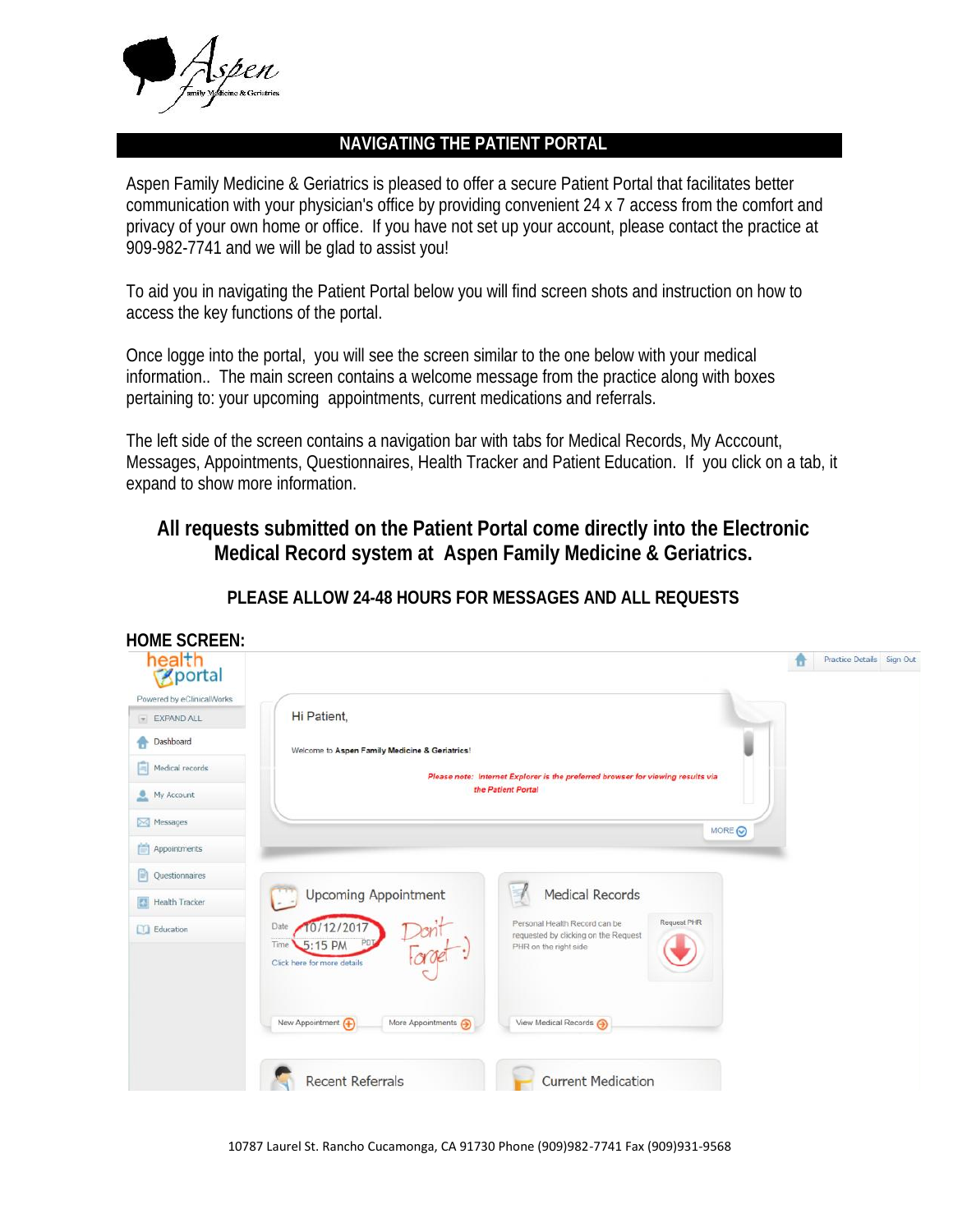

**HOME SCREEN:**

## **NAVIGATING THE PATIENT PORTAL**

Aspen Family Medicine & Geriatrics is pleased to offer a secure Patient Portal that facilitates better communication with your physician's office by providing convenient 24 x 7 access from the comfort and privacy of your own home or office. If you have not set up your account, please contact the practice at 909-982-7741 and we will be glad to assist you!

To aid you in navigating the Patient Portal below you will find screen shots and instruction on how to access the key functions of the portal.

Once logge into the portal, you will see the screen similar to the one below with your medical information.. The main screen contains a welcome message from the practice along with boxes pertaining to: your upcoming appointments, current medications and referrals.

The left side of the screen contains a navigation bar with tabs for Medical Records, My Acccount, Messages, Appointments, Questionnaires, Health Tracker and Patient Education. If you click on a tab, it expand to show more information.

**All requests submitted on the Patient Portal come directly into the Electronic Medical Record system at Aspen Family Medicine & Geriatrics.**

| health<br>Sportal         |                                                                     |                                                                                                               | Practice Details Sign Out<br>ъ |
|---------------------------|---------------------------------------------------------------------|---------------------------------------------------------------------------------------------------------------|--------------------------------|
| Powered by eClinicalWorks |                                                                     |                                                                                                               |                                |
| <b>EXPAND ALL</b>         | Hi Patient,                                                         |                                                                                                               |                                |
| Dashboard                 | Welcome to Aspen Family Medicine & Geriatrics!                      |                                                                                                               |                                |
| $\equiv$ Medical records  |                                                                     | Please note: Internet Explorer is the preferred browser for viewing results via                               |                                |
| My Account                |                                                                     | the Patient Portal                                                                                            |                                |
| Messages                  |                                                                     | MORE O                                                                                                        |                                |
| Appointments              |                                                                     |                                                                                                               |                                |
| 曾<br>Questionnaires       |                                                                     |                                                                                                               |                                |
| Health Tracker            | Upcoming Appointment                                                | Medical Records                                                                                               |                                |
| <b>CO</b> Education       | 0/12/2017<br>Date<br>Time<br>5:15 PM<br>Click here for more details | Request PHR<br>Personal Health Record can be<br>requested by clicking on the Request<br>PHR on the right side |                                |
|                           | New Appointment (+)<br>More Appointments (2)                        | View Medical Records (+)                                                                                      |                                |
|                           | <b>Recent Referrals</b>                                             | <b>Current Medication</b>                                                                                     |                                |

**PLEASE ALLOW 24-48 HOURS FOR MESSAGES AND ALL REQUESTS**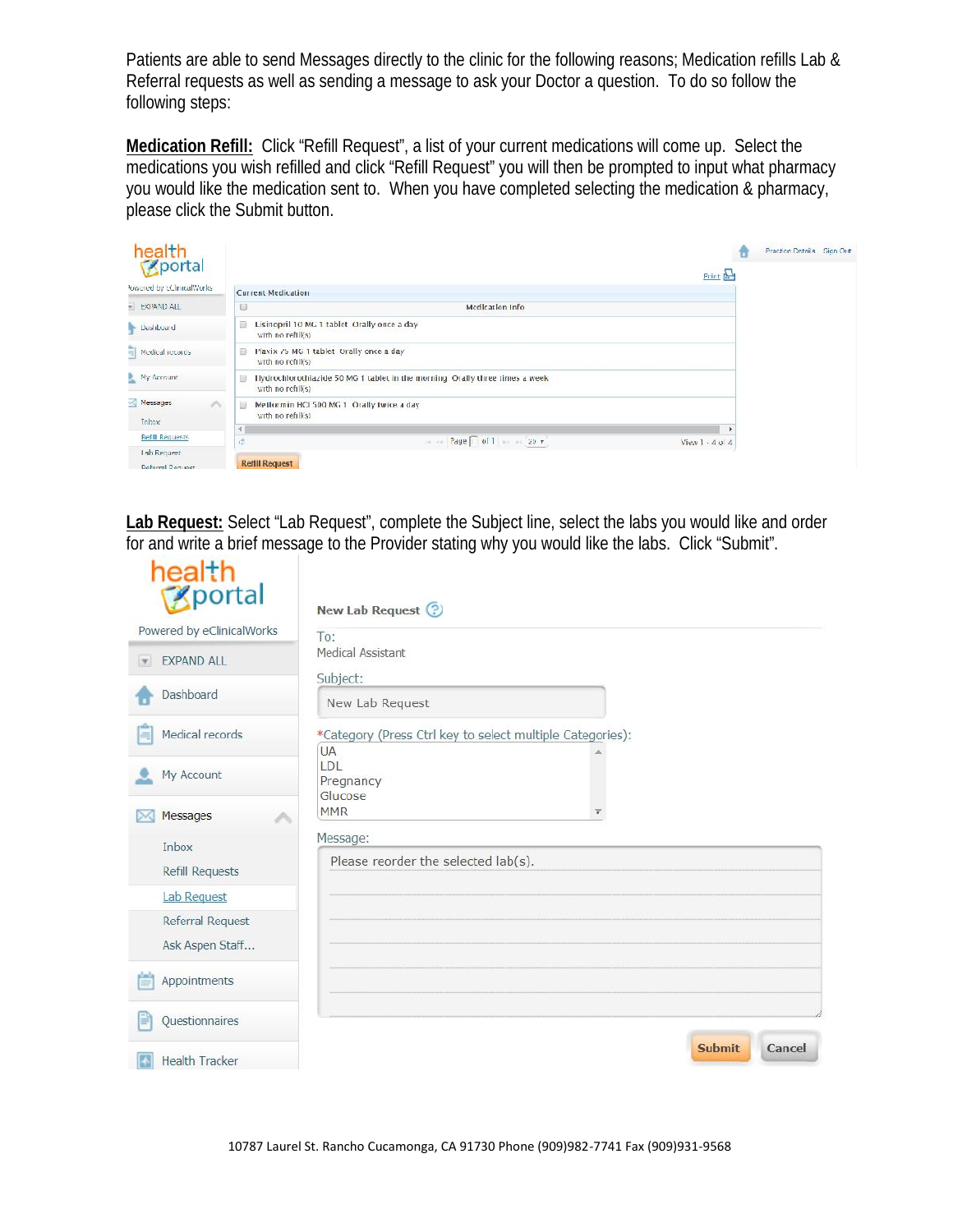Patients are able to send Messages directly to the clinic for the following reasons; Medication refills Lab & Referral requests as well as sending a message to ask your Doctor a question. To do so follow the following steps:

**Medication Refill:** Click "Refill Request", a list of your current medications will come up. Select the medications you wish refilled and click "Refill Request" you will then be prompted to input what pharmacy you would like the medication sent to. When you have completed selecting the medication & pharmacy, please click the Submit button.



**Lab Request:** Select "Lab Request", complete the Subject line, select the labs you would like and order for and write a brief message to the Provider stating why you would like the labs. Click "Submit".

| health<br><b>B</b> portal                      | New Lab Request ?                                                      |
|------------------------------------------------|------------------------------------------------------------------------|
| Powered by eClinicalWorks                      | To:                                                                    |
| <b>EXPAND ALL</b><br>$\vert \mathcal{F} \vert$ | Medical Assistant                                                      |
| Dashboard                                      | Subject:<br>New Lab Request                                            |
| Medical records                                | *Category (Press Ctrl key to select multiple Categories):<br><b>UA</b> |
| My Account                                     | LDL<br>Pregnancy<br>Glucose                                            |
| Messages<br>í.<br>M.                           | <b>MMR</b>                                                             |
| Inbox                                          | Message:                                                               |
| Refill Requests                                | Please reorder the selected lab(s).                                    |
| <b>Lab Request</b>                             |                                                                        |
| Referral Request                               |                                                                        |
| Ask Aspen Staff                                |                                                                        |
| Appointments                                   |                                                                        |
| Questionnaires                                 |                                                                        |
| Health Tracker                                 | <b>Submit</b><br>Cancel                                                |